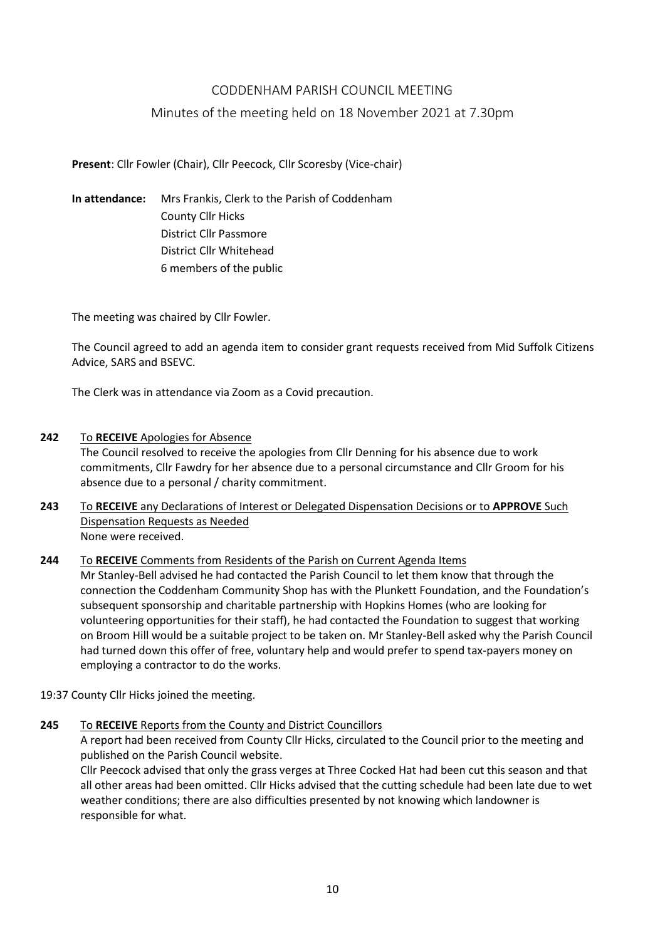# CODDENHAM PARISH COUNCIL MEETING

## Minutes of the meeting held on 18 November 2021 at 7.30pm

**Present**: Cllr Fowler (Chair), Cllr Peecock, Cllr Scoresby (Vice-chair)

**In attendance:** Mrs Frankis, Clerk to the Parish of Coddenham County Cllr Hicks District Cllr Passmore District Cllr Whitehead 6 members of the public

The meeting was chaired by Cllr Fowler.

The Council agreed to add an agenda item to consider grant requests received from Mid Suffolk Citizens Advice, SARS and BSEVC.

The Clerk was in attendance via Zoom as a Covid precaution.

**242** To **RECEIVE** Apologies for Absence

The Council resolved to receive the apologies from Cllr Denning for his absence due to work commitments, Cllr Fawdry for her absence due to a personal circumstance and Cllr Groom for his absence due to a personal / charity commitment.

**243** To **RECEIVE** any Declarations of Interest or Delegated Dispensation Decisions or to **APPROVE** Such Dispensation Requests as Needed None were received.

**244** To **RECEIVE** Comments from Residents of the Parish on Current Agenda Items Mr Stanley-Bell advised he had contacted the Parish Council to let them know that through the connection the Coddenham Community Shop has with the Plunkett Foundation, and the Foundation's subsequent sponsorship and charitable partnership with Hopkins Homes (who are looking for volunteering opportunities for their staff), he had contacted the Foundation to suggest that working on Broom Hill would be a suitable project to be taken on. Mr Stanley-Bell asked why the Parish Council

19:37 County Cllr Hicks joined the meeting.

employing a contractor to do the works.

**245** To **RECEIVE** Reports from the County and District Councillors

A report had been received from County Cllr Hicks, circulated to the Council prior to the meeting and published on the Parish Council website.

had turned down this offer of free, voluntary help and would prefer to spend tax-payers money on

Cllr Peecock advised that only the grass verges at Three Cocked Hat had been cut this season and that all other areas had been omitted. Cllr Hicks advised that the cutting schedule had been late due to wet weather conditions; there are also difficulties presented by not knowing which landowner is responsible for what.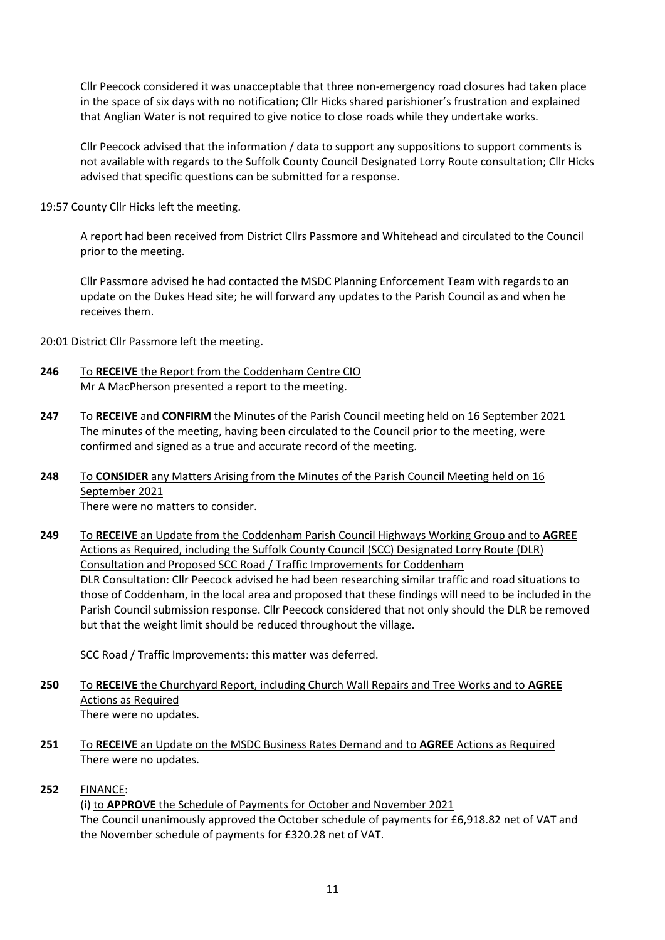Cllr Peecock considered it was unacceptable that three non-emergency road closures had taken place in the space of six days with no notification; Cllr Hicks shared parishioner's frustration and explained that Anglian Water is not required to give notice to close roads while they undertake works.

Cllr Peecock advised that the information / data to support any suppositions to support comments is not available with regards to the Suffolk County Council Designated Lorry Route consultation; Cllr Hicks advised that specific questions can be submitted for a response.

19:57 County Cllr Hicks left the meeting.

A report had been received from District Cllrs Passmore and Whitehead and circulated to the Council prior to the meeting.

Cllr Passmore advised he had contacted the MSDC Planning Enforcement Team with regards to an update on the Dukes Head site; he will forward any updates to the Parish Council as and when he receives them.

20:01 District Cllr Passmore left the meeting.

- **246** To **RECEIVE** the Report from the Coddenham Centre CIO Mr A MacPherson presented a report to the meeting.
- **247** To **RECEIVE** and **CONFIRM** the Minutes of the Parish Council meeting held on 16 September 2021 The minutes of the meeting, having been circulated to the Council prior to the meeting, were confirmed and signed as a true and accurate record of the meeting.
- **248** To **CONSIDER** any Matters Arising from the Minutes of the Parish Council Meeting held on 16 September 2021 There were no matters to consider.
- **249** To **RECEIVE** an Update from the Coddenham Parish Council Highways Working Group and to **AGREE** Actions as Required, including the Suffolk County Council (SCC) Designated Lorry Route (DLR) Consultation and Proposed SCC Road / Traffic Improvements for Coddenham DLR Consultation: Cllr Peecock advised he had been researching similar traffic and road situations to those of Coddenham, in the local area and proposed that these findings will need to be included in the Parish Council submission response. Cllr Peecock considered that not only should the DLR be removed but that the weight limit should be reduced throughout the village.

SCC Road / Traffic Improvements: this matter was deferred.

- **250** To **RECEIVE** the Churchyard Report, including Church Wall Repairs and Tree Works and to **AGREE**  Actions as Required There were no updates.
- **251** To **RECEIVE** an Update on the MSDC Business Rates Demand and to **AGREE** Actions as Required There were no updates.
- **252** FINANCE:

(i) to **APPROVE** the Schedule of Payments for October and November 2021 The Council unanimously approved the October schedule of payments for £6,918.82 net of VAT and the November schedule of payments for £320.28 net of VAT.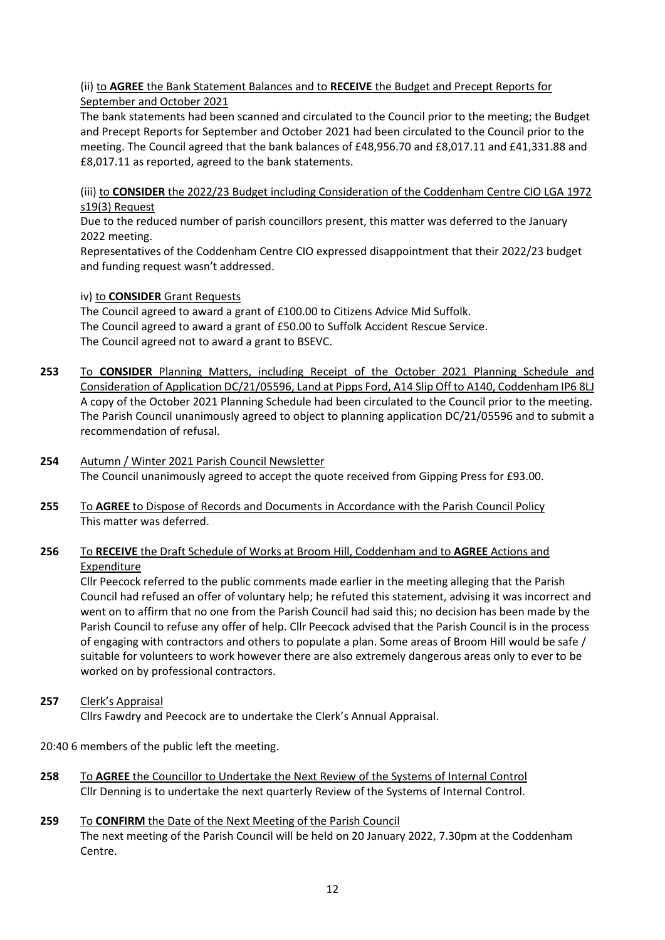## (ii) to **AGREE** the Bank Statement Balances and to **RECEIVE** the Budget and Precept Reports for September and October 2021

The bank statements had been scanned and circulated to the Council prior to the meeting; the Budget and Precept Reports for September and October 2021 had been circulated to the Council prior to the meeting. The Council agreed that the bank balances of £48,956.70 and £8,017.11 and £41,331.88 and £8,017.11 as reported, agreed to the bank statements.

(iii) to **CONSIDER** the 2022/23 Budget including Consideration of the Coddenham Centre CIO LGA 1972 s19(3) Request

Due to the reduced number of parish councillors present, this matter was deferred to the January 2022 meeting.

Representatives of the Coddenham Centre CIO expressed disappointment that their 2022/23 budget and funding request wasn't addressed.

#### iv) to **CONSIDER** Grant Requests

The Council agreed to award a grant of £100.00 to Citizens Advice Mid Suffolk. The Council agreed to award a grant of £50.00 to Suffolk Accident Rescue Service. The Council agreed not to award a grant to BSEVC.

- **253** To **CONSIDER** Planning Matters, including Receipt of the October 2021 Planning Schedule and Consideration of Application DC/21/05596, Land at Pipps Ford, A14 Slip Off to A140, Coddenham IP6 8LJ A copy of the October 2021 Planning Schedule had been circulated to the Council prior to the meeting. The Parish Council unanimously agreed to object to planning application DC/21/05596 and to submit a recommendation of refusal.
- **254** Autumn / Winter 2021 Parish Council Newsletter The Council unanimously agreed to accept the quote received from Gipping Press for £93.00.
- **255** To **AGREE** to Dispose of Records and Documents in Accordance with the Parish Council Policy This matter was deferred.

## **256** To **RECEIVE** the Draft Schedule of Works at Broom Hill, Coddenham and to **AGREE** Actions and Expenditure

Cllr Peecock referred to the public comments made earlier in the meeting alleging that the Parish Council had refused an offer of voluntary help; he refuted this statement, advising it was incorrect and went on to affirm that no one from the Parish Council had said this; no decision has been made by the Parish Council to refuse any offer of help. Cllr Peecock advised that the Parish Council is in the process of engaging with contractors and others to populate a plan. Some areas of Broom Hill would be safe / suitable for volunteers to work however there are also extremely dangerous areas only to ever to be worked on by professional contractors.

# **257** Clerk's Appraisal

Cllrs Fawdry and Peecock are to undertake the Clerk's Annual Appraisal.

20:40 6 members of the public left the meeting.

- **258** To **AGREE** the Councillor to Undertake the Next Review of the Systems of Internal Control Cllr Denning is to undertake the next quarterly Review of the Systems of Internal Control.
- **259** To **CONFIRM** the Date of the Next Meeting of the Parish Council The next meeting of the Parish Council will be held on 20 January 2022, 7.30pm at the Coddenham Centre.